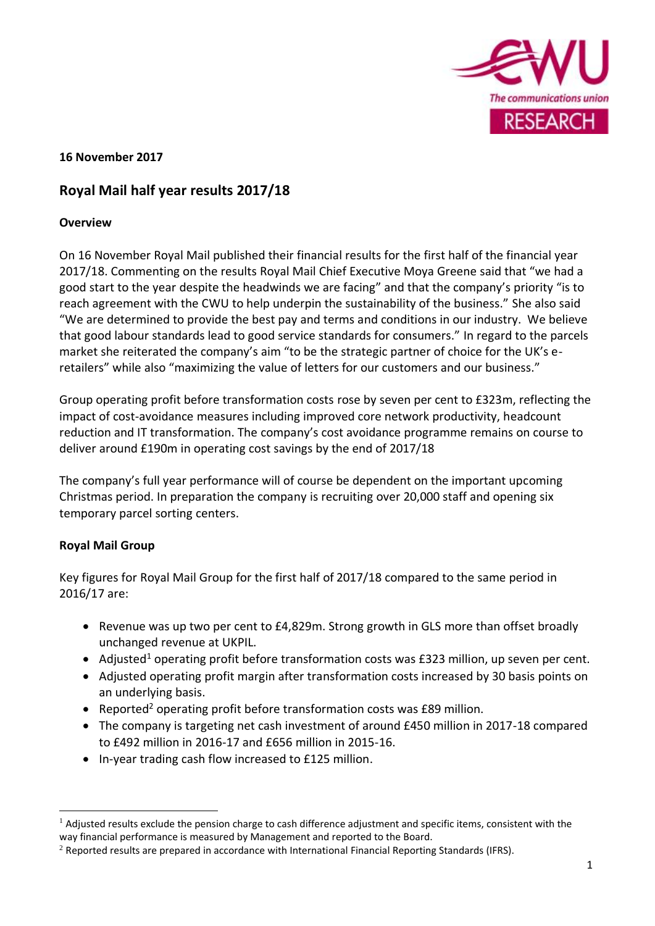

# **16 November 2017**

# **Royal Mail half year results 2017/18**

### **Overview**

On 16 November Royal Mail published their financial results for the first half of the financial year 2017/18. Commenting on the results Royal Mail Chief Executive Moya Greene said that "we had a good start to the year despite the headwinds we are facing" and that the company's priority "is to reach agreement with the CWU to help underpin the sustainability of the business." She also said "We are determined to provide the best pay and terms and conditions in our industry. We believe that good labour standards lead to good service standards for consumers." In regard to the parcels market she reiterated the company's aim "to be the strategic partner of choice for the UK's eretailers" while also "maximizing the value of letters for our customers and our business."

Group operating profit before transformation costs rose by seven per cent to £323m, reflecting the impact of cost-avoidance measures including improved core network productivity, headcount reduction and IT transformation. The company's cost avoidance programme remains on course to deliver around £190m in operating cost savings by the end of 2017/18

The company's full year performance will of course be dependent on the important upcoming Christmas period. In preparation the company is recruiting over 20,000 staff and opening six temporary parcel sorting centers.

## **Royal Mail Group**

1

Key figures for Royal Mail Group for the first half of 2017/18 compared to the same period in 2016/17 are:

- Revenue was up two per cent to £4,829m. Strong growth in GLS more than offset broadly unchanged revenue at UKPIL.
- Adjusted<sup>1</sup> operating profit before transformation costs was  $E$ 323 million, up seven per cent.
- Adjusted operating profit margin after transformation costs increased by 30 basis points on an underlying basis.
- Reported<sup>2</sup> operating profit before transformation costs was £89 million.
- The company is targeting net cash investment of around £450 million in 2017-18 compared to £492 million in 2016-17 and £656 million in 2015-16.
- In-year trading cash flow increased to £125 million.

 $1$  Adjusted results exclude the pension charge to cash difference adjustment and specific items, consistent with the way financial performance is measured by Management and reported to the Board.

 $2$  Reported results are prepared in accordance with International Financial Reporting Standards (IFRS).